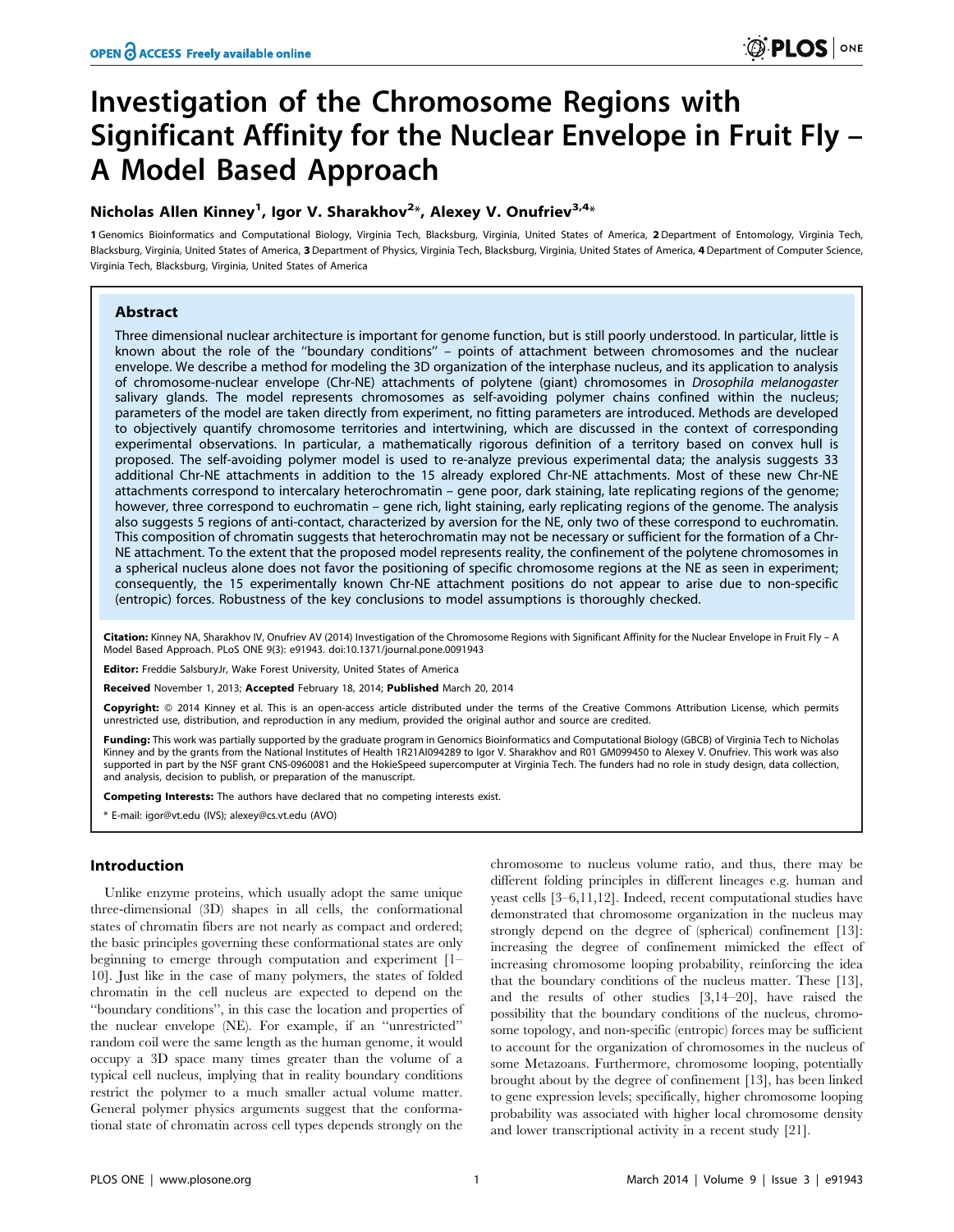# Investigation of the Chromosome Regions with Significant Affinity for the Nuclear Envelope in Fruit Fly – A Model Based Approach

# Nicholas Allen Kinney<sup>1</sup>, Igor V. Sharakhov<sup>2</sup>\*, Alexey V. Onufriev<sup>3,4</sup>\*

1 Genomics Bioinformatics and Computational Biology, Virginia Tech, Blacksburg, Virginia, United States of America, 2 Department of Entomology, Virginia Tech, Blacksburg, Virginia, United States of America, 3 Department of Physics, Virginia Tech, Blacksburg, Virginia, United States of America, 4 Department of Computer Science, Virginia Tech, Blacksburg, Virginia, United States of America

# Abstract

Three dimensional nuclear architecture is important for genome function, but is still poorly understood. In particular, little is known about the role of the ''boundary conditions'' – points of attachment between chromosomes and the nuclear envelope. We describe a method for modeling the 3D organization of the interphase nucleus, and its application to analysis of chromosome-nuclear envelope (Chr-NE) attachments of polytene (giant) chromosomes in Drosophila melanogaster salivary glands. The model represents chromosomes as self-avoiding polymer chains confined within the nucleus; parameters of the model are taken directly from experiment, no fitting parameters are introduced. Methods are developed to objectively quantify chromosome territories and intertwining, which are discussed in the context of corresponding experimental observations. In particular, a mathematically rigorous definition of a territory based on convex hull is proposed. The self-avoiding polymer model is used to re-analyze previous experimental data; the analysis suggests 33 additional Chr-NE attachments in addition to the 15 already explored Chr-NE attachments. Most of these new Chr-NE attachments correspond to intercalary heterochromatin – gene poor, dark staining, late replicating regions of the genome; however, three correspond to euchromatin – gene rich, light staining, early replicating regions of the genome. The analysis also suggests 5 regions of anti-contact, characterized by aversion for the NE, only two of these correspond to euchromatin. This composition of chromatin suggests that heterochromatin may not be necessary or sufficient for the formation of a Chr-NE attachment. To the extent that the proposed model represents reality, the confinement of the polytene chromosomes in a spherical nucleus alone does not favor the positioning of specific chromosome regions at the NE as seen in experiment; consequently, the 15 experimentally known Chr-NE attachment positions do not appear to arise due to non-specific (entropic) forces. Robustness of the key conclusions to model assumptions is thoroughly checked.

Citation: Kinney NA, Sharakhov IV, Onufriev AV (2014) Investigation of the Chromosome Regions with Significant Affinity for the Nuclear Envelope in Fruit Fly - A Model Based Approach. PLoS ONE 9(3): e91943. doi:10.1371/journal.pone.0091943

Editor: Freddie SalsburyJr, Wake Forest University, United States of America

Received November 1, 2013; Accepted February 18, 2014; Published March 20, 2014

**Copyright:** © 2014 Kinney et al. This is an open-access article distributed under the terms of the [Creative Commons Attribution License](http://creativecommons.org/licenses/by/4.0/), which permits unrestricted use, distribution, and reproduction in any medium, provided the original author and source are credited.

Funding: This work was partially supported by the graduate program in Genomics Bioinformatics and Computational Biology (GBCB) of Virginia Tech to Nicholas Kinney and by the grants from the National Institutes of Health 1R21AI094289 to Igor V. Sharakhov and R01 GM099450 to Alexey V. Onufriev. This work was also supported in part by the NSF grant CNS-0960081 and the HokieSpeed supercomputer at Virginia Tech. The funders had no role in study design, data collection, and analysis, decision to publish, or preparation of the manuscript.

Competing Interests: The authors have declared that no competing interests exist.

\* E-mail: igor@vt.edu (IVS); alexey@cs.vt.edu (AVO)

## Introduction

Unlike enzyme proteins, which usually adopt the same unique three-dimensional (3D) shapes in all cells, the conformational states of chromatin fibers are not nearly as compact and ordered; the basic principles governing these conformational states are only beginning to emerge through computation and experiment [1– 10]. Just like in the case of many polymers, the states of folded chromatin in the cell nucleus are expected to depend on the ''boundary conditions'', in this case the location and properties of the nuclear envelope (NE). For example, if an ''unrestricted'' random coil were the same length as the human genome, it would occupy a 3D space many times greater than the volume of a typical cell nucleus, implying that in reality boundary conditions restrict the polymer to a much smaller actual volume matter. General polymer physics arguments suggest that the conformational state of chromatin across cell types depends strongly on the

chromosome to nucleus volume ratio, and thus, there may be different folding principles in different lineages e.g. human and yeast cells [3–6,11,12]. Indeed, recent computational studies have demonstrated that chromosome organization in the nucleus may strongly depend on the degree of (spherical) confinement [13]: increasing the degree of confinement mimicked the effect of increasing chromosome looping probability, reinforcing the idea that the boundary conditions of the nucleus matter. These [13], and the results of other studies [3,14–20], have raised the possibility that the boundary conditions of the nucleus, chromosome topology, and non-specific (entropic) forces may be sufficient to account for the organization of chromosomes in the nucleus of some Metazoans. Furthermore, chromosome looping, potentially brought about by the degree of confinement [13], has been linked to gene expression levels; specifically, higher chromosome looping probability was associated with higher local chromosome density and lower transcriptional activity in a recent study [21].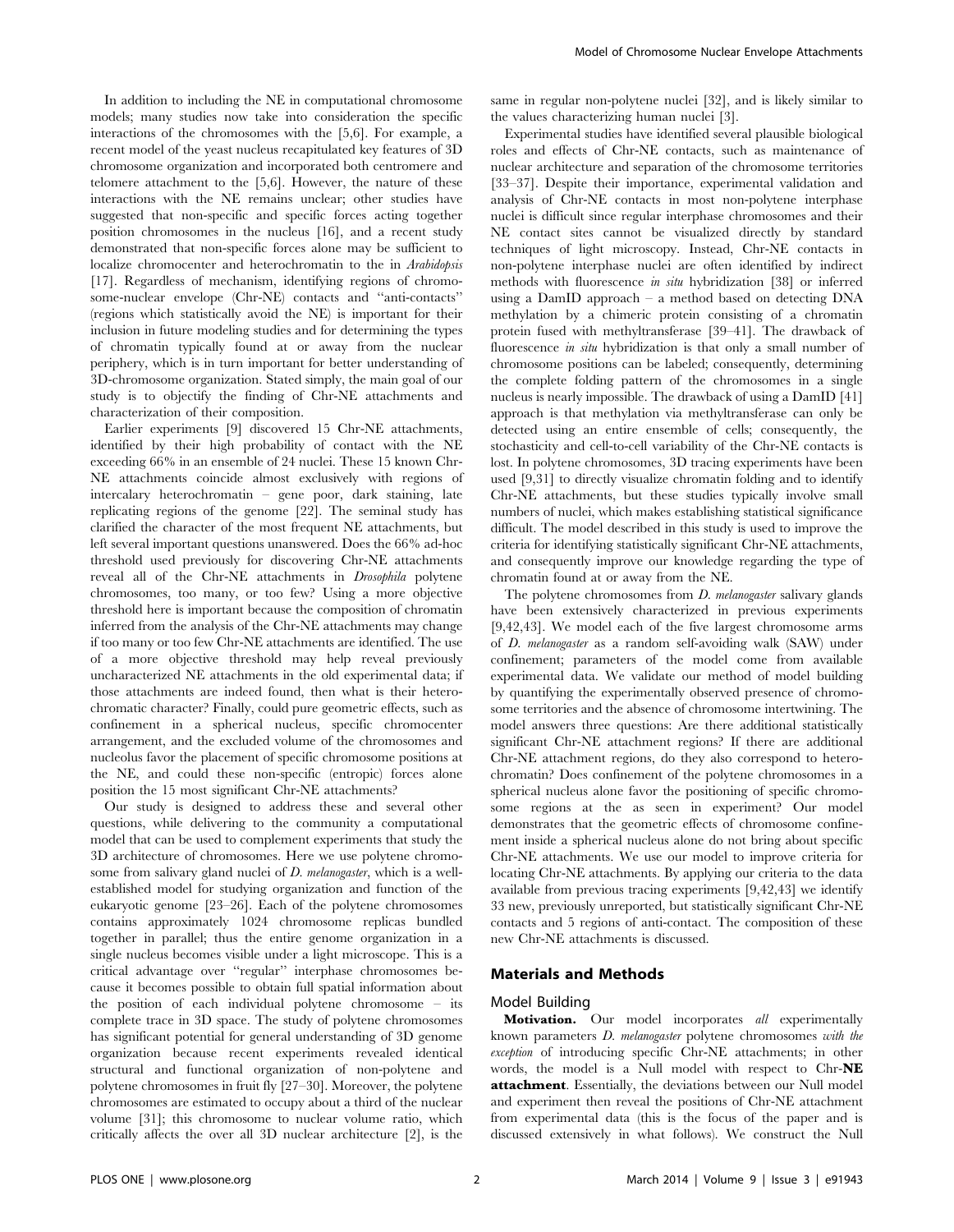In addition to including the NE in computational chromosome models; many studies now take into consideration the specific interactions of the chromosomes with the [5,6]. For example, a recent model of the yeast nucleus recapitulated key features of 3D chromosome organization and incorporated both centromere and telomere attachment to the [5,6]. However, the nature of these interactions with the NE remains unclear; other studies have suggested that non-specific and specific forces acting together position chromosomes in the nucleus [16], and a recent study demonstrated that non-specific forces alone may be sufficient to localize chromocenter and heterochromatin to the in Arabidopsis [17]. Regardless of mechanism, identifying regions of chromosome-nuclear envelope (Chr-NE) contacts and ''anti-contacts'' (regions which statistically avoid the NE) is important for their inclusion in future modeling studies and for determining the types of chromatin typically found at or away from the nuclear periphery, which is in turn important for better understanding of 3D-chromosome organization. Stated simply, the main goal of our study is to objectify the finding of Chr-NE attachments and characterization of their composition.

Earlier experiments [9] discovered 15 Chr-NE attachments, identified by their high probability of contact with the NE exceeding 66% in an ensemble of 24 nuclei. These 15 known Chr-NE attachments coincide almost exclusively with regions of intercalary heterochromatin – gene poor, dark staining, late replicating regions of the genome [22]. The seminal study has clarified the character of the most frequent NE attachments, but left several important questions unanswered. Does the 66% ad-hoc threshold used previously for discovering Chr-NE attachments reveal all of the Chr-NE attachments in Drosophila polytene chromosomes, too many, or too few? Using a more objective threshold here is important because the composition of chromatin inferred from the analysis of the Chr-NE attachments may change if too many or too few Chr-NE attachments are identified. The use of a more objective threshold may help reveal previously uncharacterized NE attachments in the old experimental data; if those attachments are indeed found, then what is their heterochromatic character? Finally, could pure geometric effects, such as confinement in a spherical nucleus, specific chromocenter arrangement, and the excluded volume of the chromosomes and nucleolus favor the placement of specific chromosome positions at the NE, and could these non-specific (entropic) forces alone position the 15 most significant Chr-NE attachments?

Our study is designed to address these and several other questions, while delivering to the community a computational model that can be used to complement experiments that study the 3D architecture of chromosomes. Here we use polytene chromosome from salivary gland nuclei of *D. melanogaster*, which is a wellestablished model for studying organization and function of the eukaryotic genome [23–26]. Each of the polytene chromosomes contains approximately 1024 chromosome replicas bundled together in parallel; thus the entire genome organization in a single nucleus becomes visible under a light microscope. This is a critical advantage over ''regular'' interphase chromosomes because it becomes possible to obtain full spatial information about the position of each individual polytene chromosome – its complete trace in 3D space. The study of polytene chromosomes has significant potential for general understanding of 3D genome organization because recent experiments revealed identical structural and functional organization of non-polytene and polytene chromosomes in fruit fly [27–30]. Moreover, the polytene chromosomes are estimated to occupy about a third of the nuclear volume [31]; this chromosome to nuclear volume ratio, which critically affects the over all 3D nuclear architecture [2], is the

same in regular non-polytene nuclei [32], and is likely similar to the values characterizing human nuclei [3].

Experimental studies have identified several plausible biological roles and effects of Chr-NE contacts, such as maintenance of nuclear architecture and separation of the chromosome territories [33–37]. Despite their importance, experimental validation and analysis of Chr-NE contacts in most non-polytene interphase nuclei is difficult since regular interphase chromosomes and their NE contact sites cannot be visualized directly by standard techniques of light microscopy. Instead, Chr-NE contacts in non-polytene interphase nuclei are often identified by indirect methods with fluorescence in situ hybridization [38] or inferred using a DamID approach – a method based on detecting DNA methylation by a chimeric protein consisting of a chromatin protein fused with methyltransferase [39–41]. The drawback of fluorescence *in situ* hybridization is that only a small number of chromosome positions can be labeled; consequently, determining the complete folding pattern of the chromosomes in a single nucleus is nearly impossible. The drawback of using a DamID [41] approach is that methylation via methyltransferase can only be detected using an entire ensemble of cells; consequently, the stochasticity and cell-to-cell variability of the Chr-NE contacts is lost. In polytene chromosomes, 3D tracing experiments have been used [9,31] to directly visualize chromatin folding and to identify Chr-NE attachments, but these studies typically involve small numbers of nuclei, which makes establishing statistical significance difficult. The model described in this study is used to improve the criteria for identifying statistically significant Chr-NE attachments, and consequently improve our knowledge regarding the type of chromatin found at or away from the NE.

The polytene chromosomes from *D. melanogaster* salivary glands have been extensively characterized in previous experiments [9,42,43]. We model each of the five largest chromosome arms of D. melanogaster as a random self-avoiding walk (SAW) under confinement; parameters of the model come from available experimental data. We validate our method of model building by quantifying the experimentally observed presence of chromosome territories and the absence of chromosome intertwining. The model answers three questions: Are there additional statistically significant Chr-NE attachment regions? If there are additional Chr-NE attachment regions, do they also correspond to heterochromatin? Does confinement of the polytene chromosomes in a spherical nucleus alone favor the positioning of specific chromosome regions at the as seen in experiment? Our model demonstrates that the geometric effects of chromosome confinement inside a spherical nucleus alone do not bring about specific Chr-NE attachments. We use our model to improve criteria for locating Chr-NE attachments. By applying our criteria to the data available from previous tracing experiments [9,42,43] we identify 33 new, previously unreported, but statistically significant Chr-NE contacts and 5 regions of anti-contact. The composition of these new Chr-NE attachments is discussed.

### Materials and Methods

#### Model Building

Motivation. Our model incorporates all experimentally known parameters D. melanogaster polytene chromosomes with the exception of introducing specific Chr-NE attachments; in other words, the model is a Null model with respect to Chr-NE attachment. Essentially, the deviations between our Null model and experiment then reveal the positions of Chr-NE attachment from experimental data (this is the focus of the paper and is discussed extensively in what follows). We construct the Null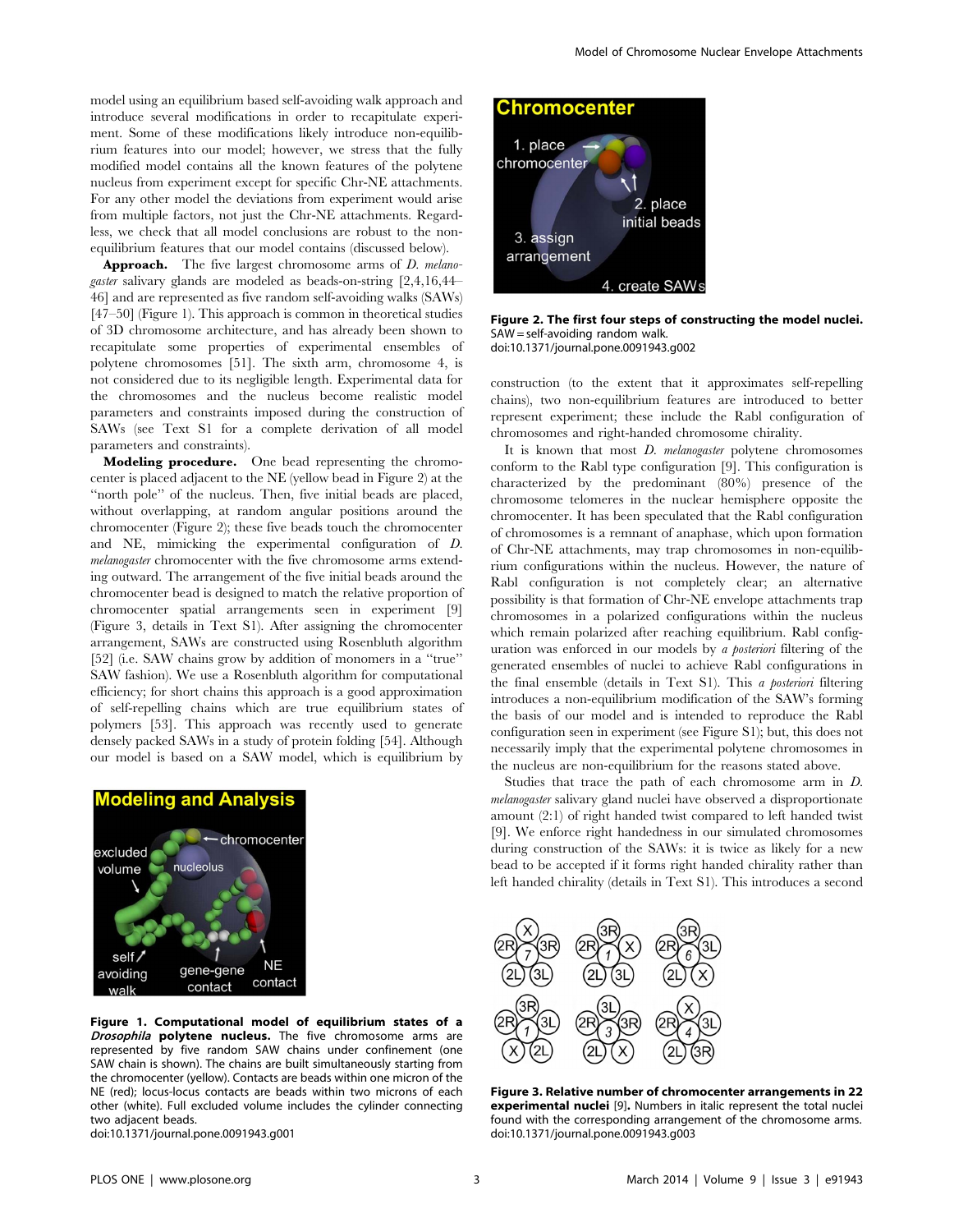model using an equilibrium based self-avoiding walk approach and introduce several modifications in order to recapitulate experiment. Some of these modifications likely introduce non-equilibrium features into our model; however, we stress that the fully modified model contains all the known features of the polytene nucleus from experiment except for specific Chr-NE attachments. For any other model the deviations from experiment would arise from multiple factors, not just the Chr-NE attachments. Regardless, we check that all model conclusions are robust to the nonequilibrium features that our model contains (discussed below).

**Approach.** The five largest chromosome arms of *D. melano*gaster salivary glands are modeled as beads-on-string [2,4,16,44– 46] and are represented as five random self-avoiding walks (SAWs) [47–50] (Figure 1). This approach is common in theoretical studies of 3D chromosome architecture, and has already been shown to recapitulate some properties of experimental ensembles of polytene chromosomes [51]. The sixth arm, chromosome 4, is not considered due to its negligible length. Experimental data for the chromosomes and the nucleus become realistic model parameters and constraints imposed during the construction of SAWs (see Text S1 for a complete derivation of all model parameters and constraints).

Modeling procedure. One bead representing the chromocenter is placed adjacent to the NE (yellow bead in Figure 2) at the "north pole" of the nucleus. Then, five initial beads are placed, without overlapping, at random angular positions around the chromocenter (Figure 2); these five beads touch the chromocenter and NE, mimicking the experimental configuration of D. melanogaster chromocenter with the five chromosome arms extending outward. The arrangement of the five initial beads around the chromocenter bead is designed to match the relative proportion of chromocenter spatial arrangements seen in experiment [9] (Figure 3, details in Text S1). After assigning the chromocenter arrangement, SAWs are constructed using Rosenbluth algorithm [52] (i.e. SAW chains grow by addition of monomers in a "true" SAW fashion). We use a Rosenbluth algorithm for computational efficiency; for short chains this approach is a good approximation of self-repelling chains which are true equilibrium states of polymers [53]. This approach was recently used to generate densely packed SAWs in a study of protein folding [54]. Although our model is based on a SAW model, which is equilibrium by



Figure 1. Computational model of equilibrium states of a Drosophila polytene nucleus. The five chromosome arms are represented by five random SAW chains under confinement (one SAW chain is shown). The chains are built simultaneously starting from the chromocenter (yellow). Contacts are beads within one micron of the NE (red); locus-locus contacts are beads within two microns of each other (white). Full excluded volume includes the cylinder connecting two adjacent beads.

doi:10.1371/journal.pone.0091943.g001



Figure 2. The first four steps of constructing the model nuclei. SAW = self-avoiding random walk. doi:10.1371/journal.pone.0091943.g002

construction (to the extent that it approximates self-repelling chains), two non-equilibrium features are introduced to better represent experiment; these include the Rabl configuration of chromosomes and right-handed chromosome chirality.

It is known that most *D. melanogaster* polytene chromosomes conform to the Rabl type configuration [9]. This configuration is characterized by the predominant (80%) presence of the chromosome telomeres in the nuclear hemisphere opposite the chromocenter. It has been speculated that the Rabl configuration of chromosomes is a remnant of anaphase, which upon formation of Chr-NE attachments, may trap chromosomes in non-equilibrium configurations within the nucleus. However, the nature of Rabl configuration is not completely clear; an alternative possibility is that formation of Chr-NE envelope attachments trap chromosomes in a polarized configurations within the nucleus which remain polarized after reaching equilibrium. Rabl configuration was enforced in our models by a posteriori filtering of the generated ensembles of nuclei to achieve Rabl configurations in the final ensemble (details in Text S1). This a posteriori filtering introduces a non-equilibrium modification of the SAW's forming the basis of our model and is intended to reproduce the Rabl configuration seen in experiment (see Figure S1); but, this does not necessarily imply that the experimental polytene chromosomes in the nucleus are non-equilibrium for the reasons stated above.

Studies that trace the path of each chromosome arm in D. melanogaster salivary gland nuclei have observed a disproportionate amount (2:1) of right handed twist compared to left handed twist [9]. We enforce right handedness in our simulated chromosomes during construction of the SAWs: it is twice as likely for a new bead to be accepted if it forms right handed chirality rather than left handed chirality (details in Text S1). This introduces a second



Figure 3. Relative number of chromocenter arrangements in 22 experimental nuclei [9]. Numbers in italic represent the total nuclei found with the corresponding arrangement of the chromosome arms. doi:10.1371/journal.pone.0091943.g003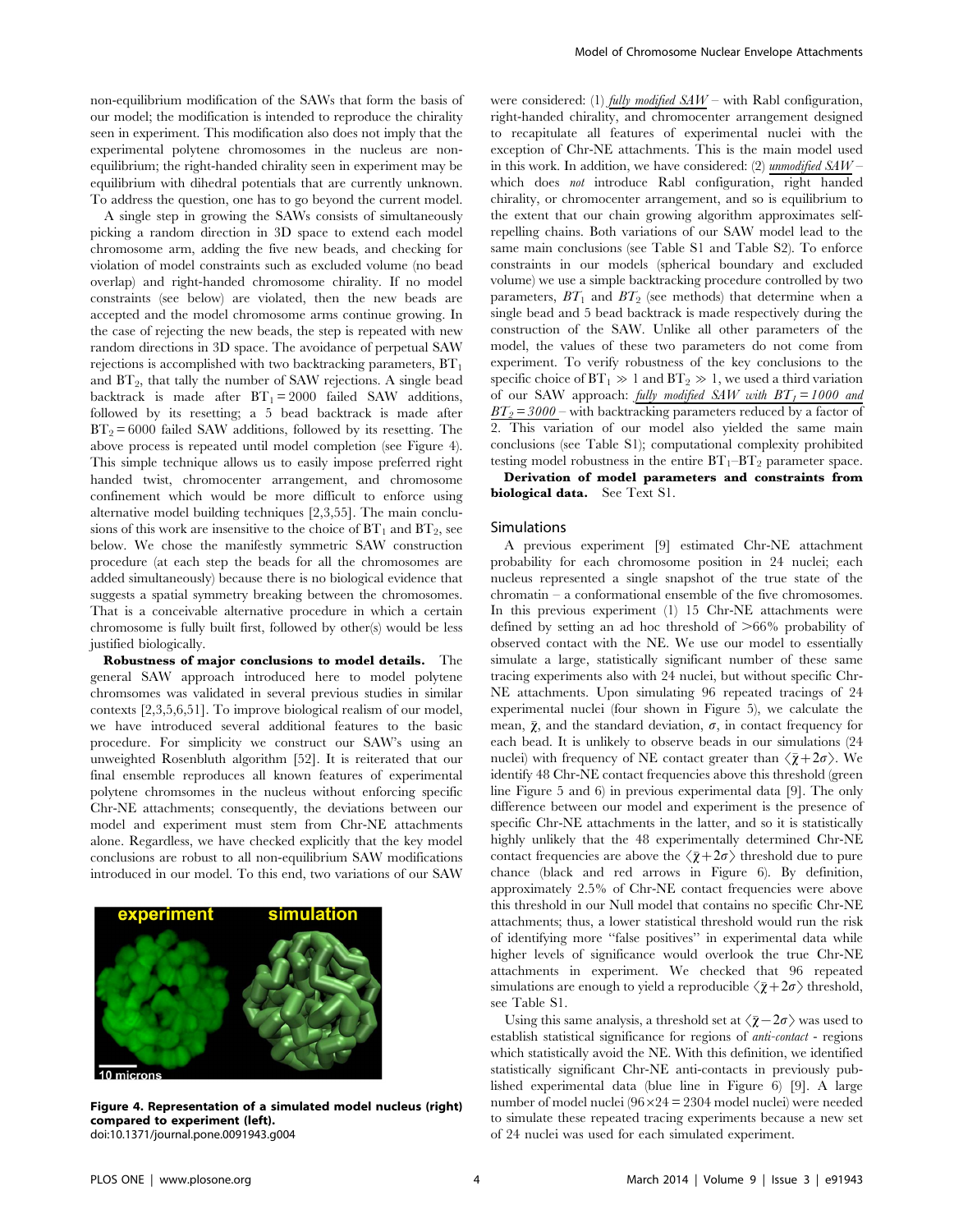non-equilibrium modification of the SAWs that form the basis of our model; the modification is intended to reproduce the chirality seen in experiment. This modification also does not imply that the experimental polytene chromosomes in the nucleus are nonequilibrium; the right-handed chirality seen in experiment may be equilibrium with dihedral potentials that are currently unknown. To address the question, one has to go beyond the current model.

A single step in growing the SAWs consists of simultaneously picking a random direction in 3D space to extend each model chromosome arm, adding the five new beads, and checking for violation of model constraints such as excluded volume (no bead overlap) and right-handed chromosome chirality. If no model constraints (see below) are violated, then the new beads are accepted and the model chromosome arms continue growing. In the case of rejecting the new beads, the step is repeated with new random directions in 3D space. The avoidance of perpetual SAW rejections is accomplished with two backtracking parameters,  $BT<sub>1</sub>$ and  $BT_2$ , that tally the number of SAW rejections. A single bead backtrack is made after  $BT_1 = 2000$  failed SAW additions, followed by its resetting; a 5 bead backtrack is made after  $BT_2 = 6000$  failed SAW additions, followed by its resetting. The above process is repeated until model completion (see Figure 4). This simple technique allows us to easily impose preferred right handed twist, chromocenter arrangement, and chromosome confinement which would be more difficult to enforce using alternative model building techniques [2,3,55]. The main conclusions of this work are insensitive to the choice of  $BT_1$  and  $BT_2$ , see below. We chose the manifestly symmetric SAW construction procedure (at each step the beads for all the chromosomes are added simultaneously) because there is no biological evidence that suggests a spatial symmetry breaking between the chromosomes. That is a conceivable alternative procedure in which a certain chromosome is fully built first, followed by other(s) would be less justified biologically.

Robustness of major conclusions to model details. The general SAW approach introduced here to model polytene chromsomes was validated in several previous studies in similar contexts [2,3,5,6,51]. To improve biological realism of our model, we have introduced several additional features to the basic procedure. For simplicity we construct our SAW's using an unweighted Rosenbluth algorithm [52]. It is reiterated that our final ensemble reproduces all known features of experimental polytene chromsomes in the nucleus without enforcing specific Chr-NE attachments; consequently, the deviations between our model and experiment must stem from Chr-NE attachments alone. Regardless, we have checked explicitly that the key model conclusions are robust to all non-equilibrium SAW modifications introduced in our model. To this end, two variations of our SAW



Figure 4. Representation of a simulated model nucleus (right) compared to experiment (left). doi:10.1371/journal.pone.0091943.g004

were considered: (1) fully modified  $SAW$  – with Rabl configuration, right-handed chirality, and chromocenter arrangement designed to recapitulate all features of experimental nuclei with the exception of Chr-NE attachments. This is the main model used in this work. In addition, we have considered: (2) unmodified  $SAW$ which does *not* introduce Rabl configuration, right handed chirality, or chromocenter arrangement, and so is equilibrium to the extent that our chain growing algorithm approximates selfrepelling chains. Both variations of our SAW model lead to the same main conclusions (see Table S1 and Table S2). To enforce constraints in our models (spherical boundary and excluded volume) we use a simple backtracking procedure controlled by two parameters,  $BT_1$  and  $BT_2$  (see methods) that determine when a single bead and 5 bead backtrack is made respectively during the construction of the SAW. Unlike all other parameters of the model, the values of these two parameters do not come from experiment. To verify robustness of the key conclusions to the specific choice of  $BT_1 \gg 1$  and  $BT_2 \gg 1$ , we used a third variation of our SAW approach: fully modified SAW with  $BT_1 = 1000$  and  $\frac{BT_2 = 3000}$  – with backtracking parameters reduced by a factor of 2. This variation of our model also vielded the same main This variation of our model also vielded the same main conclusions (see Table S1); computational complexity prohibited testing model robustness in the entire  $BT_1-T_2$  parameter space.

Derivation of model parameters and constraints from biological data. See Text S1.

#### Simulations

A previous experiment [9] estimated Chr-NE attachment probability for each chromosome position in 24 nuclei; each nucleus represented a single snapshot of the true state of the chromatin – a conformational ensemble of the five chromosomes. In this previous experiment (1) 15 Chr-NE attachments were defined by setting an ad hoc threshold of  $>66\%$  probability of observed contact with the NE. We use our model to essentially simulate a large, statistically significant number of these same tracing experiments also with 24 nuclei, but without specific Chr-NE attachments. Upon simulating 96 repeated tracings of 24 experimental nuclei (four shown in Figure 5), we calculate the mean,  $\bar{\chi}$ , and the standard deviation,  $\sigma$ , in contact frequency for each bead. It is unlikely to observe beads in our simulations (24 nuclei) with frequency of NE contact greater than  $\langle \bar{\chi} + 2\sigma \rangle$ . We identify 48 Chr-NE contact frequencies above this threshold (green line Figure 5 and 6) in previous experimental data [9]. The only difference between our model and experiment is the presence of specific Chr-NE attachments in the latter, and so it is statistically highly unlikely that the 48 experimentally determined Chr-NE contact frequencies are above the  $\langle \bar{\chi} + 2\sigma \rangle$  threshold due to pure chance (black and red arrows in Figure 6). By definition, approximately 2.5% of Chr-NE contact frequencies were above this threshold in our Null model that contains no specific Chr-NE attachments; thus, a lower statistical threshold would run the risk of identifying more ''false positives'' in experimental data while higher levels of significance would overlook the true Chr-NE attachments in experiment. We checked that 96 repeated simulations are enough to yield a reproducible  $\langle \bar{\chi} + 2\sigma \rangle$  threshold, see Table S1.

Using this same analysis, a threshold set at  $\langle \bar{\chi} - 2\sigma \rangle$  was used to establish statistical significance for regions of anti-contact - regions which statistically avoid the NE. With this definition, we identified statistically significant Chr-NE anti-contacts in previously published experimental data (blue line in Figure 6) [9]. A large number of model nuclei  $(96 \times 24 = 2304$  model nuclei) were needed to simulate these repeated tracing experiments because a new set of 24 nuclei was used for each simulated experiment.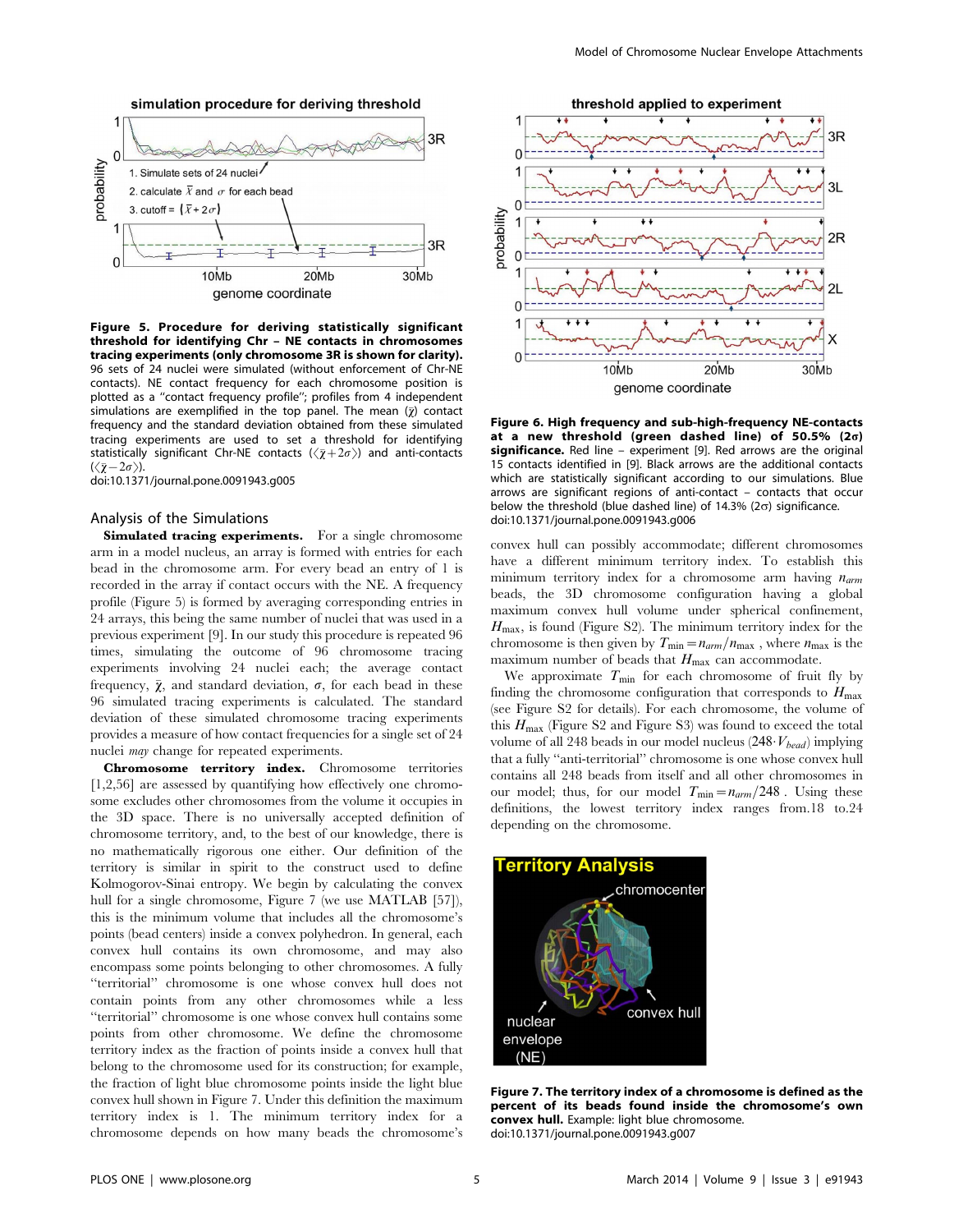

Figure 5. Procedure for deriving statistically significant threshold for identifying Chr – NE contacts in chromosomes tracing experiments (only chromosome 3R is shown for clarity). 96 sets of 24 nuclei were simulated (without enforcement of Chr-NE contacts). NE contact frequency for each chromosome position is plotted as a ''contact frequency profile''; profiles from 4 independent simulations are exemplified in the top panel. The mean  $(\bar{\chi})$  contact frequency and the standard deviation obtained from these simulated tracing experiments are used to set a threshold for identifying statistically significant Chr-NE contacts  $(\langle \bar{\chi} + 2\sigma \rangle)$  and anti-contacts  $(\langle \bar{\chi} - 2\sigma \rangle).$ 

doi:10.1371/journal.pone.0091943.g005

# Analysis of the Simulations

Simulated tracing experiments. For a single chromosome arm in a model nucleus, an array is formed with entries for each bead in the chromosome arm. For every bead an entry of 1 is recorded in the array if contact occurs with the NE. A frequency profile (Figure 5) is formed by averaging corresponding entries in 24 arrays, this being the same number of nuclei that was used in a previous experiment [9]. In our study this procedure is repeated 96 times, simulating the outcome of 96 chromosome tracing experiments involving 24 nuclei each; the average contact frequency,  $\bar{\chi}$ , and standard deviation,  $\sigma$ , for each bead in these 96 simulated tracing experiments is calculated. The standard deviation of these simulated chromosome tracing experiments provides a measure of how contact frequencies for a single set of 24 nuclei may change for repeated experiments.

Chromosome territory index. Chromosome territories [1,2,56] are assessed by quantifying how effectively one chromosome excludes other chromosomes from the volume it occupies in the 3D space. There is no universally accepted definition of chromosome territory, and, to the best of our knowledge, there is no mathematically rigorous one either. Our definition of the territory is similar in spirit to the construct used to define Kolmogorov-Sinai entropy. We begin by calculating the convex hull for a single chromosome, Figure 7 (we use MATLAB [57]), this is the minimum volume that includes all the chromosome's points (bead centers) inside a convex polyhedron. In general, each convex hull contains its own chromosome, and may also encompass some points belonging to other chromosomes. A fully ''territorial'' chromosome is one whose convex hull does not contain points from any other chromosomes while a less ''territorial'' chromosome is one whose convex hull contains some points from other chromosome. We define the chromosome territory index as the fraction of points inside a convex hull that belong to the chromosome used for its construction; for example, the fraction of light blue chromosome points inside the light blue convex hull shown in Figure 7. Under this definition the maximum territory index is 1. The minimum territory index for a chromosome depends on how many beads the chromosome's



Figure 6. High frequency and sub-high-frequency NE-contacts at a new threshold (green dashed line) of 50.5% (2s) significance. Red line - experiment [9]. Red arrows are the original 15 contacts identified in [9]. Black arrows are the additional contacts which are statistically significant according to our simulations. Blue arrows are significant regions of anti-contact – contacts that occur below the threshold (blue dashed line) of  $14.3\%$  ( $2\sigma$ ) significance. doi:10.1371/journal.pone.0091943.g006

convex hull can possibly accommodate; different chromosomes have a different minimum territory index. To establish this minimum territory index for a chromosome arm having  $n_{arm}$ beads, the 3D chromosome configuration having a global maximum convex hull volume under spherical confinement,  $H_{\text{max}}$ , is found (Figure S2). The minimum territory index for the chromosome is then given by  $T_{\text{min}}=n_{arm}/n_{\text{max}}$ , where  $n_{\text{max}}$  is the maximum number of beads that  $H_{\text{max}}$  can accommodate.

We approximate  $T_{\text{min}}$  for each chromosome of fruit fly by finding the chromosome configuration that corresponds to  $H_{\text{max}}$ (see Figure S2 for details). For each chromosome, the volume of this  $H_{\text{max}}$  (Figure S2 and Figure S3) was found to exceed the total volume of all 248 beads in our model nucleus  $(248 \cdot V_{bead})$  implying that a fully ''anti-territorial'' chromosome is one whose convex hull contains all 248 beads from itself and all other chromosomes in our model; thus, for our model  $T_{\text{min}}=n_{arm}/248$ . Using these definitions, the lowest territory index ranges from.18 to.24 depending on the chromosome.



Figure 7. The territory index of a chromosome is defined as the percent of its beads found inside the chromosome's own convex hull. Example: light blue chromosome. doi:10.1371/journal.pone.0091943.g007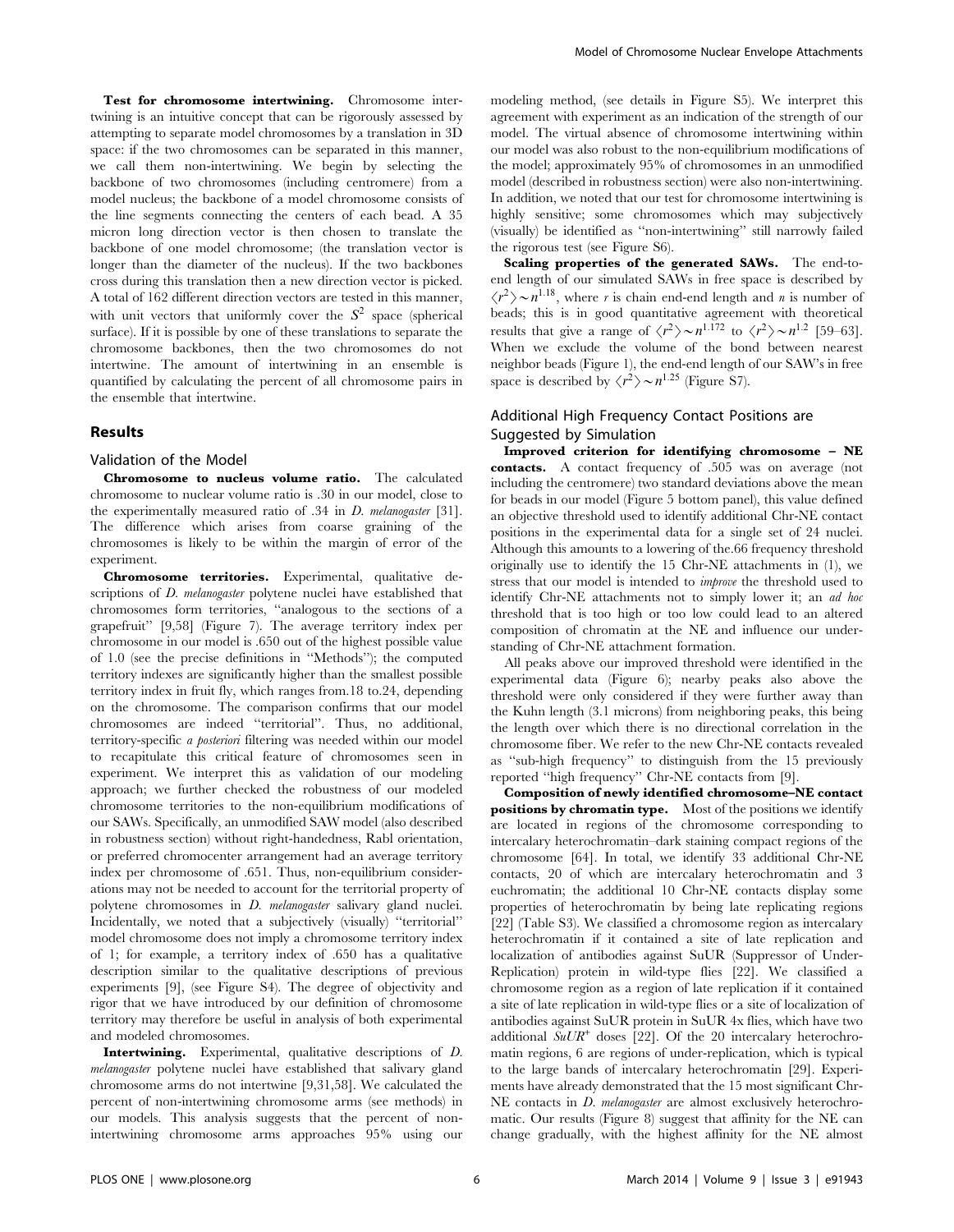Test for chromosome intertwining. Chromosome intertwining is an intuitive concept that can be rigorously assessed by attempting to separate model chromosomes by a translation in 3D space: if the two chromosomes can be separated in this manner, we call them non-intertwining. We begin by selecting the backbone of two chromosomes (including centromere) from a model nucleus; the backbone of a model chromosome consists of the line segments connecting the centers of each bead. A 35 micron long direction vector is then chosen to translate the backbone of one model chromosome; (the translation vector is longer than the diameter of the nucleus). If the two backbones cross during this translation then a new direction vector is picked. A total of 162 different direction vectors are tested in this manner, with unit vectors that uniformly cover the  $S^2$  space (spherical surface). If it is possible by one of these translations to separate the chromosome backbones, then the two chromosomes do not intertwine. The amount of intertwining in an ensemble is quantified by calculating the percent of all chromosome pairs in the ensemble that intertwine.

## Results

#### Validation of the Model

Chromosome to nucleus volume ratio. The calculated chromosome to nuclear volume ratio is .30 in our model, close to the experimentally measured ratio of .34 in *D. melanogaster* [31]. The difference which arises from coarse graining of the chromosomes is likely to be within the margin of error of the experiment.

Chromosome territories. Experimental, qualitative descriptions of *D. melanogaster* polytene nuclei have established that chromosomes form territories, ''analogous to the sections of a grapefruit'' [9,58] (Figure 7). The average territory index per chromosome in our model is .650 out of the highest possible value of 1.0 (see the precise definitions in ''Methods''); the computed territory indexes are significantly higher than the smallest possible territory index in fruit fly, which ranges from.18 to.24, depending on the chromosome. The comparison confirms that our model chromosomes are indeed ''territorial''. Thus, no additional, territory-specific a posteriori filtering was needed within our model to recapitulate this critical feature of chromosomes seen in experiment. We interpret this as validation of our modeling approach; we further checked the robustness of our modeled chromosome territories to the non-equilibrium modifications of our SAWs. Specifically, an unmodified SAW model (also described in robustness section) without right-handedness, Rabl orientation, or preferred chromocenter arrangement had an average territory index per chromosome of .651. Thus, non-equilibrium considerations may not be needed to account for the territorial property of polytene chromosomes in *D. melanogaster* salivary gland nuclei. Incidentally, we noted that a subjectively (visually) ''territorial'' model chromosome does not imply a chromosome territory index of 1; for example, a territory index of .650 has a qualitative description similar to the qualitative descriptions of previous experiments [9], (see Figure S4). The degree of objectivity and rigor that we have introduced by our definition of chromosome territory may therefore be useful in analysis of both experimental and modeled chromosomes.

Intertwining. Experimental, qualitative descriptions of D. melanogaster polytene nuclei have established that salivary gland chromosome arms do not intertwine [9,31,58]. We calculated the percent of non-intertwining chromosome arms (see methods) in our models. This analysis suggests that the percent of nonintertwining chromosome arms approaches 95% using our modeling method, (see details in Figure S5). We interpret this agreement with experiment as an indication of the strength of our model. The virtual absence of chromosome intertwining within our model was also robust to the non-equilibrium modifications of the model; approximately 95% of chromosomes in an unmodified model (described in robustness section) were also non-intertwining. In addition, we noted that our test for chromosome intertwining is highly sensitive; some chromosomes which may subjectively (visually) be identified as ''non-intertwining'' still narrowly failed the rigorous test (see Figure S6).

Scaling properties of the generated SAWs. The end-toend length of our simulated SAWs in free space is described by  $\langle r^2 \rangle \sim n^{1.18}$ , where r is chain end-end length and n is number of beads; this is in good quantitative agreement with theoretical results that give a range of  $\langle r^2 \rangle \sim n^{1.172}$  to  $\langle r^2 \rangle \sim n^{1.2}$  [59–63]. When we exclude the volume of the bond between nearest neighbor beads (Figure 1), the end-end length of our SAW's in free space is described by  $\langle r^2 \rangle \sim n^{1.25}$  (Figure S7).

# Additional High Frequency Contact Positions are Suggested by Simulation

Improved criterion for identifying chromosome – NE contacts. A contact frequency of .505 was on average (not including the centromere) two standard deviations above the mean for beads in our model (Figure 5 bottom panel), this value defined an objective threshold used to identify additional Chr-NE contact positions in the experimental data for a single set of 24 nuclei. Although this amounts to a lowering of the.66 frequency threshold originally use to identify the 15 Chr-NE attachments in (1), we stress that our model is intended to improve the threshold used to identify Chr-NE attachments not to simply lower it; an *ad hoc* threshold that is too high or too low could lead to an altered composition of chromatin at the NE and influence our understanding of Chr-NE attachment formation.

All peaks above our improved threshold were identified in the experimental data (Figure 6); nearby peaks also above the threshold were only considered if they were further away than the Kuhn length (3.1 microns) from neighboring peaks, this being the length over which there is no directional correlation in the chromosome fiber. We refer to the new Chr-NE contacts revealed as ''sub-high frequency'' to distinguish from the 15 previously reported ''high frequency'' Chr-NE contacts from [9].

Composition of newly identified chromosome–NE contact positions by chromatin type. Most of the positions we identify are located in regions of the chromosome corresponding to intercalary heterochromatin–dark staining compact regions of the chromosome [64]. In total, we identify 33 additional Chr-NE contacts, 20 of which are intercalary heterochromatin and 3 euchromatin; the additional 10 Chr-NE contacts display some properties of heterochromatin by being late replicating regions [22] (Table S3). We classified a chromosome region as intercalary heterochromatin if it contained a site of late replication and localization of antibodies against SuUR (Suppressor of Under-Replication) protein in wild-type flies [22]. We classified a chromosome region as a region of late replication if it contained a site of late replication in wild-type flies or a site of localization of antibodies against SuUR protein in SuUR 4x flies, which have two additional  $\mathcal{S}uUR^+$  doses [22]. Of the 20 intercalary heterochromatin regions, 6 are regions of under-replication, which is typical to the large bands of intercalary heterochromatin [29]. Experiments have already demonstrated that the 15 most significant Chr-NE contacts in *D. melanogaster* are almost exclusively heterochromatic. Our results (Figure 8) suggest that affinity for the NE can change gradually, with the highest affinity for the NE almost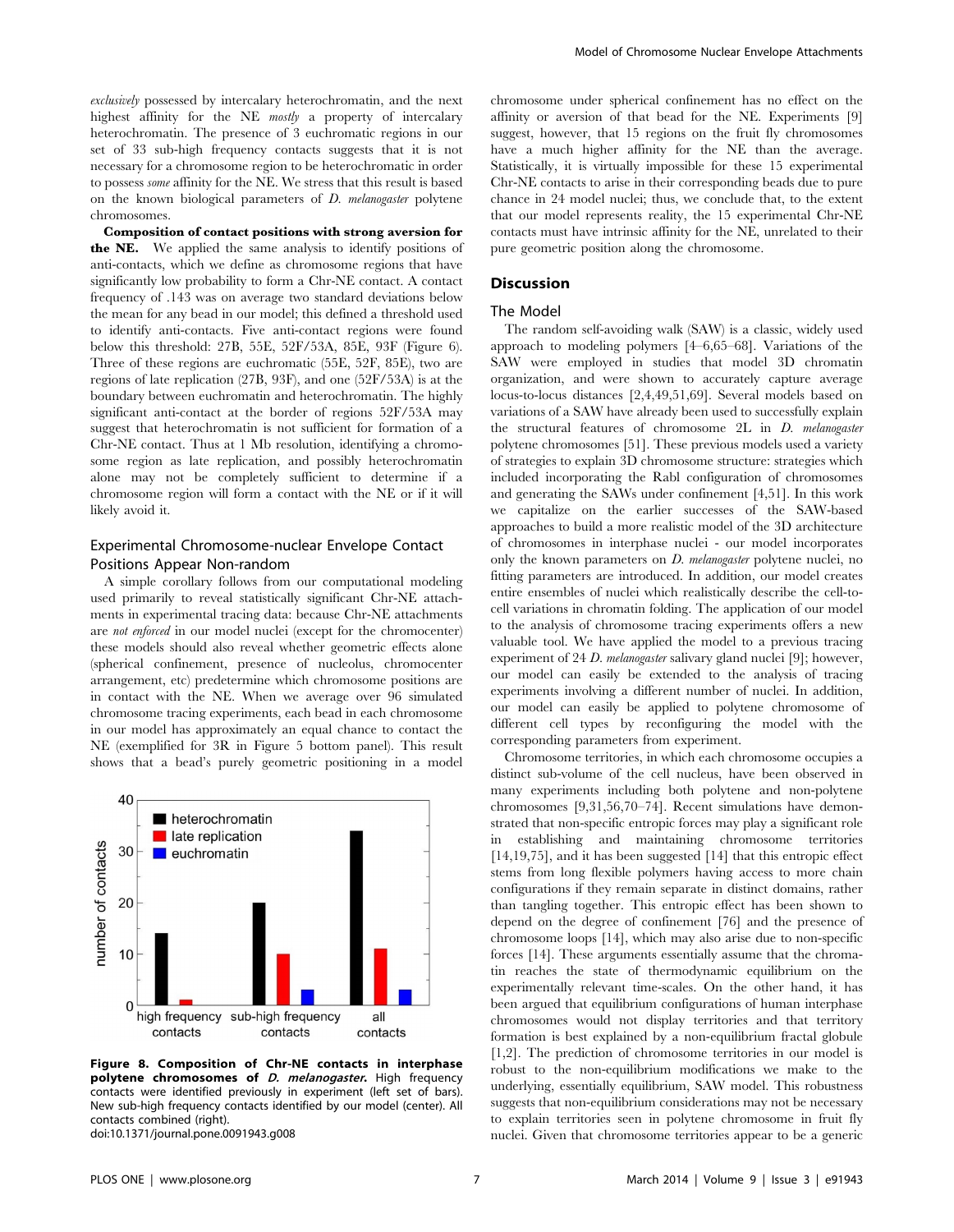exclusively possessed by intercalary heterochromatin, and the next highest affinity for the NE *mostly* a property of intercalary heterochromatin. The presence of 3 euchromatic regions in our set of 33 sub-high frequency contacts suggests that it is not necessary for a chromosome region to be heterochromatic in order to possess some affinity for the NE. We stress that this result is based on the known biological parameters of D. melanogaster polytene chromosomes.

Composition of contact positions with strong aversion for the NE. We applied the same analysis to identify positions of anti-contacts, which we define as chromosome regions that have significantly low probability to form a Chr-NE contact. A contact frequency of .143 was on average two standard deviations below the mean for any bead in our model; this defined a threshold used to identify anti-contacts. Five anti-contact regions were found below this threshold: 27B, 55E, 52F/53A, 85E, 93F (Figure 6). Three of these regions are euchromatic (55E, 52F, 85E), two are regions of late replication (27B, 93F), and one (52F/53A) is at the boundary between euchromatin and heterochromatin. The highly significant anti-contact at the border of regions 52F/53A may suggest that heterochromatin is not sufficient for formation of a Chr-NE contact. Thus at 1 Mb resolution, identifying a chromosome region as late replication, and possibly heterochromatin alone may not be completely sufficient to determine if a chromosome region will form a contact with the NE or if it will likely avoid it.

## Experimental Chromosome-nuclear Envelope Contact Positions Appear Non-random

A simple corollary follows from our computational modeling used primarily to reveal statistically significant Chr-NE attachments in experimental tracing data: because Chr-NE attachments are not enforced in our model nuclei (except for the chromocenter) these models should also reveal whether geometric effects alone (spherical confinement, presence of nucleolus, chromocenter arrangement, etc) predetermine which chromosome positions are in contact with the NE. When we average over 96 simulated chromosome tracing experiments, each bead in each chromosome in our model has approximately an equal chance to contact the NE (exemplified for 3R in Figure 5 bottom panel). This result shows that a bead's purely geometric positioning in a model



Figure 8. Composition of Chr-NE contacts in interphase polytene chromosomes of *D. melanogaster*. High frequency contacts were identified previously in experiment (left set of bars). New sub-high frequency contacts identified by our model (center). All contacts combined (right). doi:10.1371/journal.pone.0091943.g008

chromosome under spherical confinement has no effect on the affinity or aversion of that bead for the NE. Experiments [9] suggest, however, that 15 regions on the fruit fly chromosomes have a much higher affinity for the NE than the average. Statistically, it is virtually impossible for these 15 experimental Chr-NE contacts to arise in their corresponding beads due to pure chance in 24 model nuclei; thus, we conclude that, to the extent that our model represents reality, the 15 experimental Chr-NE contacts must have intrinsic affinity for the NE, unrelated to their pure geometric position along the chromosome.

#### **Discussion**

#### The Model

The random self-avoiding walk (SAW) is a classic, widely used approach to modeling polymers [4–6,65–68]. Variations of the SAW were employed in studies that model 3D chromatin organization, and were shown to accurately capture average locus-to-locus distances [2,4,49,51,69]. Several models based on variations of a SAW have already been used to successfully explain the structural features of chromosome 2L in D. melanogaster polytene chromosomes [51]. These previous models used a variety of strategies to explain 3D chromosome structure: strategies which included incorporating the Rabl configuration of chromosomes and generating the SAWs under confinement [4,51]. In this work we capitalize on the earlier successes of the SAW-based approaches to build a more realistic model of the 3D architecture of chromosomes in interphase nuclei - our model incorporates only the known parameters on *D. melanogaster* polytene nuclei, no fitting parameters are introduced. In addition, our model creates entire ensembles of nuclei which realistically describe the cell-tocell variations in chromatin folding. The application of our model to the analysis of chromosome tracing experiments offers a new valuable tool. We have applied the model to a previous tracing experiment of 24 D. melanogaster salivary gland nuclei [9]; however, our model can easily be extended to the analysis of tracing experiments involving a different number of nuclei. In addition, our model can easily be applied to polytene chromosome of different cell types by reconfiguring the model with the corresponding parameters from experiment.

Chromosome territories, in which each chromosome occupies a distinct sub-volume of the cell nucleus, have been observed in many experiments including both polytene and non-polytene chromosomes [9,31,56,70–74]. Recent simulations have demonstrated that non-specific entropic forces may play a significant role in establishing and maintaining chromosome territories [14,19,75], and it has been suggested [14] that this entropic effect stems from long flexible polymers having access to more chain configurations if they remain separate in distinct domains, rather than tangling together. This entropic effect has been shown to depend on the degree of confinement [76] and the presence of chromosome loops [14], which may also arise due to non-specific forces [14]. These arguments essentially assume that the chromatin reaches the state of thermodynamic equilibrium on the experimentally relevant time-scales. On the other hand, it has been argued that equilibrium configurations of human interphase chromosomes would not display territories and that territory formation is best explained by a non-equilibrium fractal globule [1,2]. The prediction of chromosome territories in our model is robust to the non-equilibrium modifications we make to the underlying, essentially equilibrium, SAW model. This robustness suggests that non-equilibrium considerations may not be necessary to explain territories seen in polytene chromosome in fruit fly nuclei. Given that chromosome territories appear to be a generic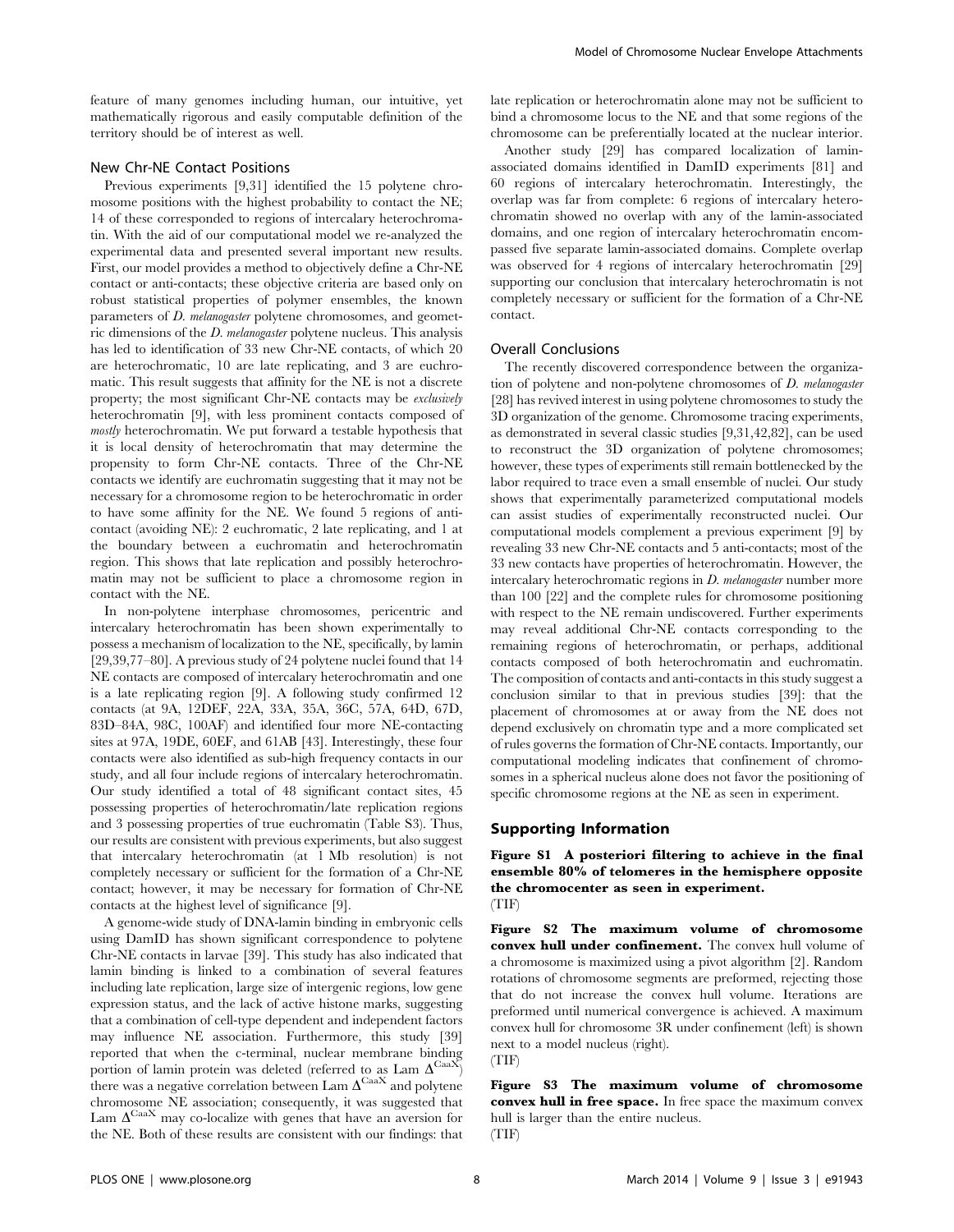feature of many genomes including human, our intuitive, yet mathematically rigorous and easily computable definition of the territory should be of interest as well.

#### New Chr-NE Contact Positions

Previous experiments [9,31] identified the 15 polytene chromosome positions with the highest probability to contact the NE; 14 of these corresponded to regions of intercalary heterochromatin. With the aid of our computational model we re-analyzed the experimental data and presented several important new results. First, our model provides a method to objectively define a Chr-NE contact or anti-contacts; these objective criteria are based only on robust statistical properties of polymer ensembles, the known parameters of D. melanogaster polytene chromosomes, and geometric dimensions of the D. melanogaster polytene nucleus. This analysis has led to identification of 33 new Chr-NE contacts, of which 20 are heterochromatic, 10 are late replicating, and 3 are euchromatic. This result suggests that affinity for the NE is not a discrete property; the most significant Chr-NE contacts may be exclusively heterochromatin [9], with less prominent contacts composed of mostly heterochromatin. We put forward a testable hypothesis that it is local density of heterochromatin that may determine the propensity to form Chr-NE contacts. Three of the Chr-NE contacts we identify are euchromatin suggesting that it may not be necessary for a chromosome region to be heterochromatic in order to have some affinity for the NE. We found 5 regions of anticontact (avoiding NE): 2 euchromatic, 2 late replicating, and 1 at the boundary between a euchromatin and heterochromatin region. This shows that late replication and possibly heterochromatin may not be sufficient to place a chromosome region in contact with the NE.

In non-polytene interphase chromosomes, pericentric and intercalary heterochromatin has been shown experimentally to possess a mechanism of localization to the NE, specifically, by lamin [29,39,77–80]. A previous study of 24 polytene nuclei found that 14 NE contacts are composed of intercalary heterochromatin and one is a late replicating region [9]. A following study confirmed 12 contacts (at 9A, 12DEF, 22A, 33A, 35A, 36C, 57A, 64D, 67D, 83D–84A, 98C, 100AF) and identified four more NE-contacting sites at 97A, 19DE, 60EF, and 61AB [43]. Interestingly, these four contacts were also identified as sub-high frequency contacts in our study, and all four include regions of intercalary heterochromatin. Our study identified a total of 48 significant contact sites, 45 possessing properties of heterochromatin/late replication regions and 3 possessing properties of true euchromatin (Table S3). Thus, our results are consistent with previous experiments, but also suggest that intercalary heterochromatin (at 1 Mb resolution) is not completely necessary or sufficient for the formation of a Chr-NE contact; however, it may be necessary for formation of Chr-NE contacts at the highest level of significance [9].

A genome-wide study of DNA-lamin binding in embryonic cells using DamID has shown significant correspondence to polytene Chr-NE contacts in larvae [39]. This study has also indicated that lamin binding is linked to a combination of several features including late replication, large size of intergenic regions, low gene expression status, and the lack of active histone marks, suggesting that a combination of cell-type dependent and independent factors may influence NE association. Furthermore, this study [39] reported that when the c-terminal, nuclear membrane binding portion of lamin protein was deleted (referred to as Lam  $\Delta^{\text{CaaX}}$ ) there was a negative correlation between  $\text{Lam }\Delta^\text{CaaX}$  and polytene chromosome NE association; consequently, it was suggested that Lam $\Delta^\mathrm{CaaX}$  may co-localize with genes that have an aversion for the NE. Both of these results are consistent with our findings: that

late replication or heterochromatin alone may not be sufficient to bind a chromosome locus to the NE and that some regions of the chromosome can be preferentially located at the nuclear interior.

Another study [29] has compared localization of laminassociated domains identified in DamID experiments [81] and 60 regions of intercalary heterochromatin. Interestingly, the overlap was far from complete: 6 regions of intercalary heterochromatin showed no overlap with any of the lamin-associated domains, and one region of intercalary heterochromatin encompassed five separate lamin-associated domains. Complete overlap was observed for 4 regions of intercalary heterochromatin [29] supporting our conclusion that intercalary heterochromatin is not completely necessary or sufficient for the formation of a Chr-NE contact.

### Overall Conclusions

The recently discovered correspondence between the organization of polytene and non-polytene chromosomes of D. melanogaster [28] has revived interest in using polytene chromosomes to study the 3D organization of the genome. Chromosome tracing experiments, as demonstrated in several classic studies [9,31,42,82], can be used to reconstruct the 3D organization of polytene chromosomes; however, these types of experiments still remain bottlenecked by the labor required to trace even a small ensemble of nuclei. Our study shows that experimentally parameterized computational models can assist studies of experimentally reconstructed nuclei. Our computational models complement a previous experiment [9] by revealing 33 new Chr-NE contacts and 5 anti-contacts; most of the 33 new contacts have properties of heterochromatin. However, the intercalary heterochromatic regions in D. melanogaster number more than 100 [22] and the complete rules for chromosome positioning with respect to the NE remain undiscovered. Further experiments may reveal additional Chr-NE contacts corresponding to the remaining regions of heterochromatin, or perhaps, additional contacts composed of both heterochromatin and euchromatin. The composition of contacts and anti-contacts in this study suggest a conclusion similar to that in previous studies [39]: that the placement of chromosomes at or away from the NE does not depend exclusively on chromatin type and a more complicated set of rules governs the formation of Chr-NE contacts. Importantly, our computational modeling indicates that confinement of chromosomes in a spherical nucleus alone does not favor the positioning of specific chromosome regions at the NE as seen in experiment.

#### Supporting Information

Figure S1 A posteriori filtering to achieve in the final ensemble 80% of telomeres in the hemisphere opposite the chromocenter as seen in experiment. (TIF)

Figure S2 The maximum volume of chromosome convex hull under confinement. The convex hull volume of a chromosome is maximized using a pivot algorithm [2]. Random rotations of chromosome segments are preformed, rejecting those that do not increase the convex hull volume. Iterations are preformed until numerical convergence is achieved. A maximum convex hull for chromosome 3R under confinement (left) is shown next to a model nucleus (right).

(TIF)

Figure S3 The maximum volume of chromosome convex hull in free space. In free space the maximum convex hull is larger than the entire nucleus.

 $(TIF)$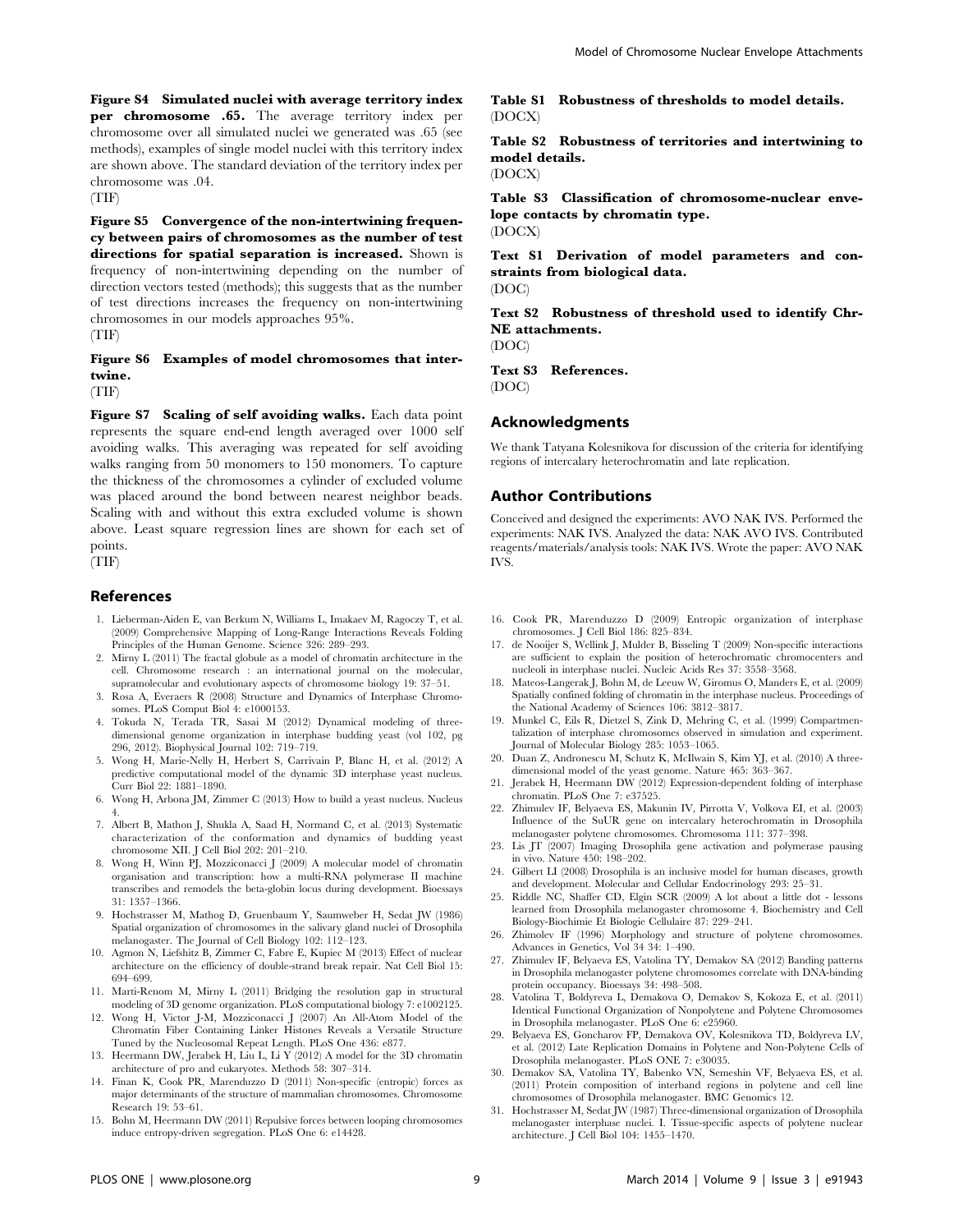Figure S4 Simulated nuclei with average territory index per chromosome .65. The average territory index per chromosome over all simulated nuclei we generated was .65 (see methods), examples of single model nuclei with this territory index are shown above. The standard deviation of the territory index per chromosome was .04.

(TIF)

Figure S5 Convergence of the non-intertwining frequency between pairs of chromosomes as the number of test directions for spatial separation is increased. Shown is frequency of non-intertwining depending on the number of direction vectors tested (methods); this suggests that as the number of test directions increases the frequency on non-intertwining chromosomes in our models approaches 95%.

(TIF)

# Figure S6 Examples of model chromosomes that intertwine.

(TIF)

Figure S7 Scaling of self avoiding walks. Each data point represents the square end-end length averaged over 1000 self avoiding walks. This averaging was repeated for self avoiding walks ranging from 50 monomers to 150 monomers. To capture the thickness of the chromosomes a cylinder of excluded volume was placed around the bond between nearest neighbor beads. Scaling with and without this extra excluded volume is shown above. Least square regression lines are shown for each set of points.

(TIF)

### References

- 1. Lieberman-Aiden E, van Berkum N, Williams L, Imakaev M, Ragoczy T, et al. (2009) Comprehensive Mapping of Long-Range Interactions Reveals Folding Principles of the Human Genome. Science 326: 289-293.
- 2. Mirny L (2011) The fractal globule as a model of chromatin architecture in the cell. Chromosome research : an international journal on the molecular, supramolecular and evolutionary aspects of chromosome biology 19: 37–51.
- 3. Rosa A, Everaers R (2008) Structure and Dynamics of Interphase Chromosomes. PLoS Comput Biol 4: e1000153.
- 4. Tokuda N, Terada TR, Sasai M (2012) Dynamical modeling of threedimensional genome organization in interphase budding yeast (vol 102, pg 296, 2012). Biophysical Journal 102: 719–719.
- 5. Wong H, Marie-Nelly H, Herbert S, Carrivain P, Blanc H, et al. (2012) A predictive computational model of the dynamic 3D interphase yeast nucleus. Curr Biol 22: 1881–1890.
- 6. Wong H, Arbona JM, Zimmer C (2013) How to build a yeast nucleus. Nucleus 4.
- 7. Albert B, Mathon J, Shukla A, Saad H, Normand C, et al. (2013) Systematic characterization of the conformation and dynamics of budding yeast chromosome XII. J Cell Biol 202: 201–210.
- 8. Wong H, Winn PJ, Mozziconacci J (2009) A molecular model of chromatin organisation and transcription: how a multi-RNA polymerase II machine transcribes and remodels the beta-globin locus during development. Bioessays 31: 1357–1366.
- 9. Hochstrasser M, Mathog D, Gruenbaum Y, Saumweber H, Sedat JW (1986) Spatial organization of chromosomes in the salivary gland nuclei of Drosophila melanogaster. The Journal of Cell Biology 102: 112–123.
- 10. Agmon N, Liefshitz B, Zimmer C, Fabre E, Kupiec M (2013) Effect of nuclear architecture on the efficiency of double-strand break repair. Nat Cell Biol 15: 694–699.
- 11. Marti-Renom M, Mirny L (2011) Bridging the resolution gap in structural modeling of 3D genome organization. PLoS computational biology 7: e1002125.
- 12. Wong H, Victor J-M, Mozziconacci J (2007) An All-Atom Model of the Chromatin Fiber Containing Linker Histones Reveals a Versatile Structure Tuned by the Nucleosomal Repeat Length. PLoS One 436: e877.
- 13. Heermann DW, Jerabek H, Liu L, Li Y (2012) A model for the 3D chromatin architecture of pro and eukaryotes. Methods 58: 307–314.
- 14. Finan K, Cook PR, Marenduzzo D (2011) Non-specific (entropic) forces as major determinants of the structure of mammalian chromosomes. Chromosome Research 19: 53–61.
- 15. Bohn M, Heermann DW (2011) Repulsive forces between looping chromosomes induce entropy-driven segregation. PLoS One 6: e14428.

Table S1 Robustness of thresholds to model details. (DOCX)

Table S2 Robustness of territories and intertwining to model details. (DOCX)

Table S3 Classification of chromosome-nuclear envelope contacts by chromatin type.

(DOCX)

Text S1 Derivation of model parameters and constraints from biological data.

(DOC)

Text S2 Robustness of threshold used to identify Chr-NE attachments.

(DOC)

Text S3 References. (DOC)

# Acknowledgments

We thank Tatyana Kolesnikova for discussion of the criteria for identifying regions of intercalary heterochromatin and late replication.

# Author Contributions

Conceived and designed the experiments: AVO NAK IVS. Performed the experiments: NAK IVS. Analyzed the data: NAK AVO IVS. Contributed reagents/materials/analysis tools: NAK IVS. Wrote the paper: AVO NAK IVS.

- 16. Cook PR, Marenduzzo D (2009) Entropic organization of interphase chromosomes. J Cell Biol 186: 825–834.
- 17. de Nooijer S, Wellink J, Mulder B, Bisseling T (2009) Non-specific interactions are sufficient to explain the position of heterochromatic chromocenters and nucleoli in interphase nuclei. Nucleic Acids Res 37: 3558–3568.
- 18. Mateos-Langerak J, Bohn M, de Leeuw W, Giromus O, Manders E, et al. (2009) Spatially confined folding of chromatin in the interphase nucleus. Proceedings of the National Academy of Sciences 106: 3812–3817.
- 19. Munkel C, Eils R, Dietzel S, Zink D, Mehring C, et al. (1999) Compartmentalization of interphase chromosomes observed in simulation and experiment. Journal of Molecular Biology 285: 1053–1065.
- 20. Duan Z, Andronescu M, Schutz K, McIlwain S, Kim YJ, et al. (2010) A threedimensional model of the yeast genome. Nature 465: 363–367.
- 21. Jerabek H, Heermann DW (2012) Expression-dependent folding of interphase chromatin. PLoS One 7: e37525.
- 22. Zhimulev IF, Belyaeva ES, Makunin IV, Pirrotta V, Volkova EI, et al. (2003) Influence of the SuUR gene on intercalary heterochromatin in Drosophila melanogaster polytene chromosomes. Chromosoma 111: 377–398.
- 23. Lis JT (2007) Imaging Drosophila gene activation and polymerase pausing in vivo. Nature 450: 198–202.
- 24. Gilbert LI (2008) Drosophila is an inclusive model for human diseases, growth and development. Molecular and Cellular Endocrinology 293: 25–31.
- 25. Riddle NC, Shaffer CD, Elgin SCR (2009) A lot about a little dot lessons learned from Drosophila melanogaster chromosome 4. Biochemistry and Cell Biology-Biochimie Et Biologie Cellulaire 87: 229–241.
- 26. Zhimolev IF (1996) Morphology and structure of polytene chromosomes. Advances in Genetics, Vol 34 34: 1–490.
- 27. Zhimulev IF, Belyaeva ES, Vatolina TY, Demakov SA (2012) Banding patterns in Drosophila melanogaster polytene chromosomes correlate with DNA-binding protein occupancy. Bioessays 34: 498–508.
- 28. Vatolina T, Boldyreva L, Demakova O, Demakov S, Kokoza E, et al. (2011) Identical Functional Organization of Nonpolytene and Polytene Chromosomes in Drosophila melanogaster. PLoS One 6: e25960.
- 29. Belyaeva ES, Goncharov FP, Demakova OV, Kolesnikova TD, Boldyreva LV, et al. (2012) Late Replication Domains in Polytene and Non-Polytene Cells of Drosophila melanogaster. PLoS ONE 7: e30035.
- 30. Demakov SA, Vatolina TY, Babenko VN, Semeshin VF, Belyaeva ES, et al. (2011) Protein composition of interband regions in polytene and cell line chromosomes of Drosophila melanogaster. BMC Genomics 12.
- 31. Hochstrasser M, Sedat JW (1987) Three-dimensional organization of Drosophila melanogaster interphase nuclei. I. Tissue-specific aspects of polytene nuclear architecture. J Cell Biol 104: 1455–1470.